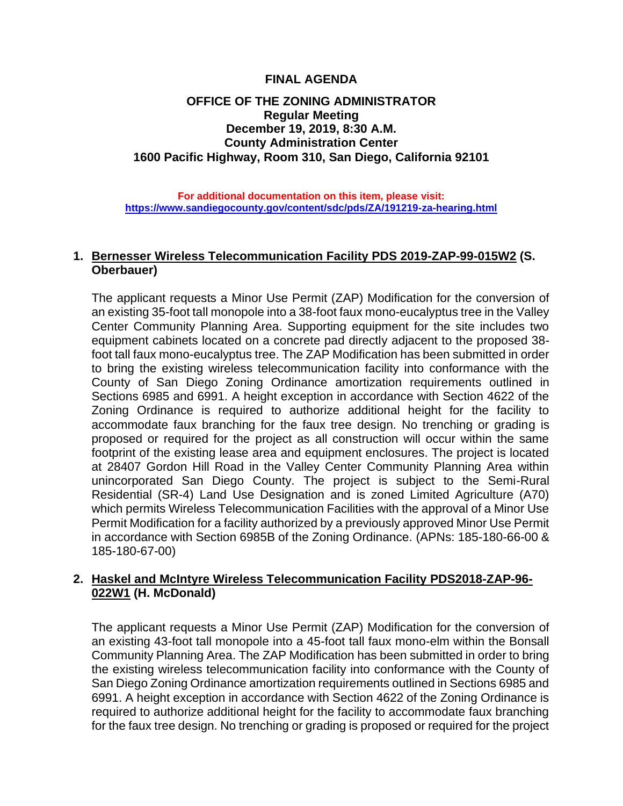#### **FINAL AGENDA**

# **OFFICE OF THE ZONING ADMINISTRATOR Regular Meeting December 19, 2019, 8:30 A.M. County Administration Center 1600 Pacific Highway, Room 310, San Diego, California 92101**

**For additional documentation on this item, please visit: <https://www.sandiegocounty.gov/content/sdc/pds/ZA/191219-za-hearing.html>**

# **1. Bernesser Wireless Telecommunication Facility PDS 2019-ZAP-99-015W2 (S. Oberbauer)**

The applicant requests a Minor Use Permit (ZAP) Modification for the conversion of an existing 35-foot tall monopole into a 38-foot faux mono-eucalyptus tree in the Valley Center Community Planning Area. Supporting equipment for the site includes two equipment cabinets located on a concrete pad directly adjacent to the proposed 38 foot tall faux mono-eucalyptus tree. The ZAP Modification has been submitted in order to bring the existing wireless telecommunication facility into conformance with the County of San Diego Zoning Ordinance amortization requirements outlined in Sections 6985 and 6991. A height exception in accordance with Section 4622 of the Zoning Ordinance is required to authorize additional height for the facility to accommodate faux branching for the faux tree design. No trenching or grading is proposed or required for the project as all construction will occur within the same footprint of the existing lease area and equipment enclosures. The project is located at 28407 Gordon Hill Road in the Valley Center Community Planning Area within unincorporated San Diego County. The project is subject to the Semi-Rural Residential (SR-4) Land Use Designation and is zoned Limited Agriculture (A70) which permits Wireless Telecommunication Facilities with the approval of a Minor Use Permit Modification for a facility authorized by a previously approved Minor Use Permit in accordance with Section 6985B of the Zoning Ordinance. (APNs: 185-180-66-00 & 185-180-67-00)

# **2. Haskel and McIntyre Wireless Telecommunication Facility PDS2018-ZAP-96- 022W1 (H. McDonald)**

The applicant requests a Minor Use Permit (ZAP) Modification for the conversion of an existing 43-foot tall monopole into a 45-foot tall faux mono-elm within the Bonsall Community Planning Area. The ZAP Modification has been submitted in order to bring the existing wireless telecommunication facility into conformance with the County of San Diego Zoning Ordinance amortization requirements outlined in Sections 6985 and 6991. A height exception in accordance with Section 4622 of the Zoning Ordinance is required to authorize additional height for the facility to accommodate faux branching for the faux tree design. No trenching or grading is proposed or required for the project